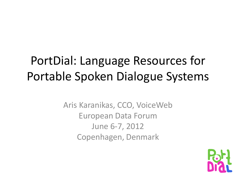### PortDial: Language Resources for Portable Spoken Dialogue Systems

Aris Karanikas, CCO, VoiceWeb European Data Forum June 6-7, 2012 Copenhagen, Denmark

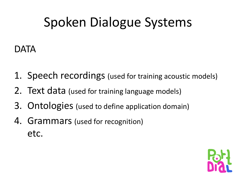# Spoken Dialogue Systems

#### DATA

- 1. Speech recordings (used for training acoustic models)
- 2. Text data (used for training language models)
- 3. Ontologies (used to define application domain)
- 4. Grammars (used for recognition) etc.

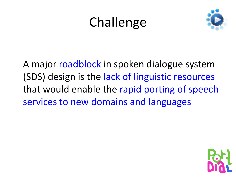## **Challenge**



A major roadblock in spoken dialogue system (SDS) design is the lack of linguistic resources that would enable the rapid porting of speech services to new domains and languages

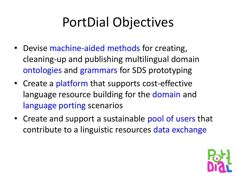# PortDial Objectives

- Devise machine-aided methods for creating, cleaning-up and publishing multilingual domain ontologies and grammars for SDS prototyping
- Create a platform that supports cost-effective language resource building for the domain and language porting scenarios
- Create and support a sustainable pool of users that contribute to a linguistic resources data exchange

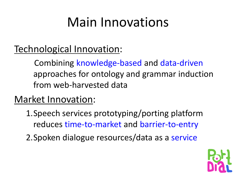## Main Innovations

#### Technological Innovation:

 Combining knowledge-based and data-driven approaches for ontology and grammar induction from web-harvested data

#### Market Innovation:

- 1.Speech services prototyping/porting platform reduces time-to-market and barrier-to-entry
- 2.Spoken dialogue resources/data as a service

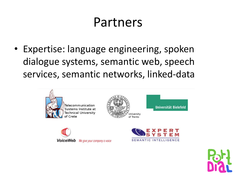### Partners

• Expertise: language engineering, spoken dialogue systems, semantic web, speech services, semantic networks, linked-data







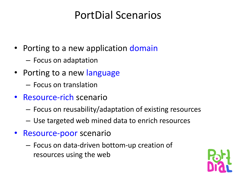### PortDial Scenarios

- Porting to a new application domain
	- Focus on adaptation
- Porting to a new language
	- Focus on translation
- Resource-rich scenario
	- Focus on reusability/adaptation of existing resources
	- Use targeted web mined data to enrich resources
- Resource-poor scenario
	- Focus on data-driven bottom-up creation of resources using the web

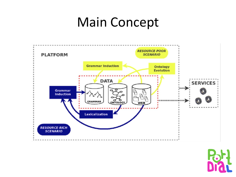### Main Concept



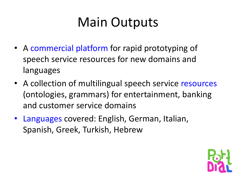# Main Outputs

- A commercial platform for rapid prototyping of speech service resources for new domains and languages
- A collection of multilingual speech service resources (ontologies, grammars) for entertainment, banking and customer service domains
- Languages covered: English, German, Italian, Spanish, Greek, Turkish, Hebrew

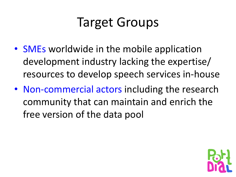## Target Groups

- SMEs worldwide in the mobile application development industry lacking the expertise/ resources to develop speech services in-house
- Non-commercial actors including the research community that can maintain and enrich the free version of the data pool